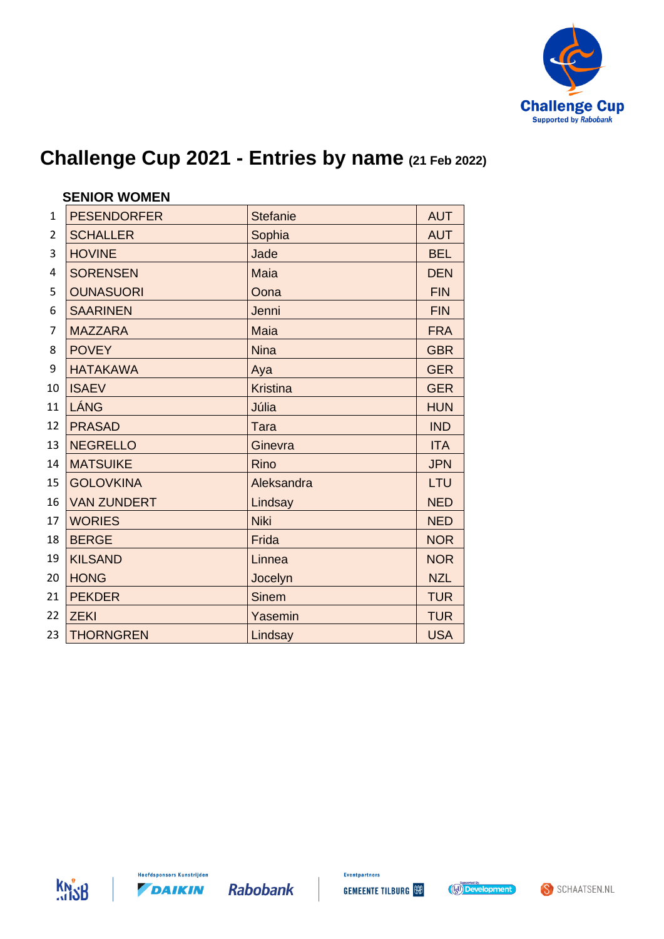

|                | <b>SENIOR WOMEN</b> |                 |            |  |
|----------------|---------------------|-----------------|------------|--|
| $\mathbf{1}$   | <b>PESENDORFER</b>  | <b>Stefanie</b> | <b>AUT</b> |  |
| $\overline{2}$ | <b>SCHALLER</b>     | Sophia          | <b>AUT</b> |  |
| 3              | <b>HOVINE</b>       | Jade            | <b>BEL</b> |  |
| $\overline{4}$ | <b>SORENSEN</b>     | <b>Maia</b>     | <b>DEN</b> |  |
| 5              | <b>OUNASUORI</b>    | Oona            | <b>FIN</b> |  |
| 6              | <b>SAARINEN</b>     | Jenni           | <b>FIN</b> |  |
| $\overline{7}$ | <b>MAZZARA</b>      | <b>Maia</b>     | <b>FRA</b> |  |
| 8              | <b>POVEY</b>        | <b>Nina</b>     | <b>GBR</b> |  |
| 9              | <b>HATAKAWA</b>     | Aya             | <b>GER</b> |  |
| 10             | <b>ISAEV</b>        | <b>Kristina</b> | <b>GER</b> |  |
| 11             | LÁNG                | Júlia           | <b>HUN</b> |  |
| 12             | <b>PRASAD</b>       | <b>Tara</b>     | <b>IND</b> |  |
| 13             | <b>NEGRELLO</b>     | Ginevra         | <b>ITA</b> |  |
| 14             | <b>MATSUIKE</b>     | <b>Rino</b>     | <b>JPN</b> |  |
| 15             | <b>GOLOVKINA</b>    | Aleksandra      | LTU        |  |
| 16             | <b>VAN ZUNDERT</b>  | Lindsay         | <b>NED</b> |  |
| 17             | <b>WORIES</b>       | <b>Niki</b>     | <b>NED</b> |  |
| 18             | <b>BERGE</b>        | Frida           | <b>NOR</b> |  |
| 19             | <b>KILSAND</b>      | Linnea          | <b>NOR</b> |  |
| 20             | <b>HONG</b>         | Jocelyn         | <b>NZL</b> |  |
| 21             | <b>PEKDER</b>       | <b>Sinem</b>    | <b>TUR</b> |  |
| 22             | <b>ZEKI</b>         | Yasemin         | <b>TUR</b> |  |
| 23             | <b>THORNGREN</b>    | Lindsay         | <b>USA</b> |  |





**Hoofdsponsors Kunstrijden** 

DAIKIN

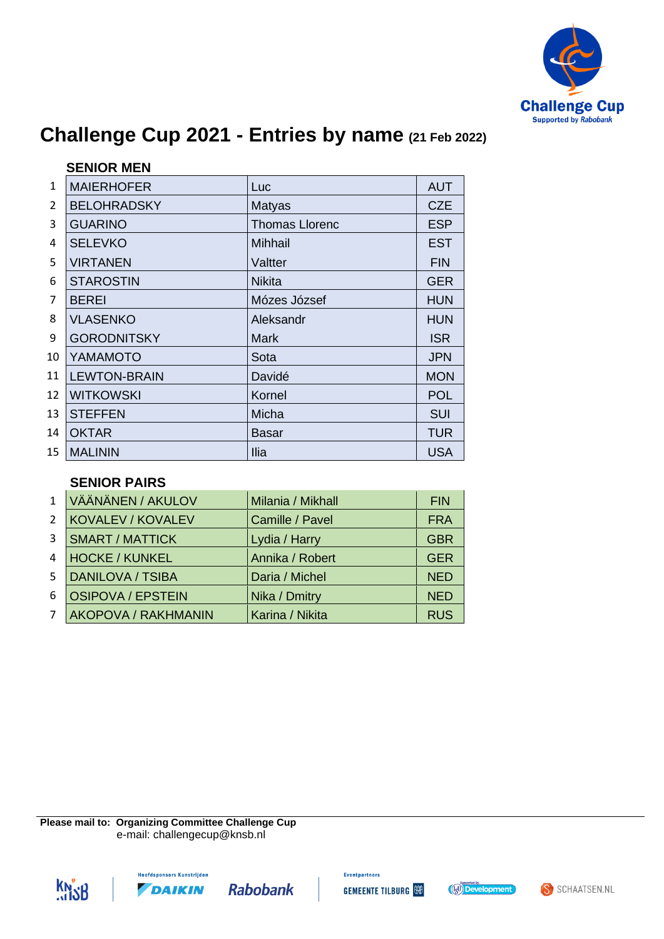

|                | <b>SENIOR MEN</b>   |                       |            |
|----------------|---------------------|-----------------------|------------|
| $\mathbf{1}$   | <b>MAIERHOFER</b>   | Luc                   | <b>AUT</b> |
| $\overline{2}$ | <b>BELOHRADSKY</b>  | <b>Matyas</b>         | <b>CZE</b> |
| 3              | <b>GUARINO</b>      | <b>Thomas Llorenc</b> | <b>ESP</b> |
| 4              | <b>SELEVKO</b>      | <b>Mihhail</b>        | <b>EST</b> |
| 5              | <b>VIRTANEN</b>     | Valtter               | <b>FIN</b> |
| 6              | <b>STAROSTIN</b>    | <b>Nikita</b>         | <b>GER</b> |
| 7              | <b>BEREI</b>        | Mózes József          | <b>HUN</b> |
| 8              | <b>VLASENKO</b>     | Aleksandr             | <b>HUN</b> |
| 9              | <b>GORODNITSKY</b>  | <b>Mark</b>           | <b>ISR</b> |
| 10             | YAMAMOTO            | Sota                  | <b>JPN</b> |
| 11             | <b>LEWTON-BRAIN</b> | Davidé                | <b>MON</b> |
| 12             | <b>WITKOWSKI</b>    | Kornel                | <b>POL</b> |
| 13             | <b>STEFFEN</b>      | Micha                 | <b>SUI</b> |
| 14             | <b>OKTAR</b>        | Basar                 | <b>TUR</b> |
| 15             | <b>MALININ</b>      | <b>Ilia</b>           | <b>USA</b> |

#### **SENIOR PAIRS**

| $\mathbf{1}$   | VÄÄNÄNEN / AKULOV          | Milania / Mikhall | <b>FIN</b> |
|----------------|----------------------------|-------------------|------------|
| $\overline{2}$ | <b>KOVALEV / KOVALEV</b>   | Camille / Pavel   | <b>FRA</b> |
| 3              | <b>SMART / MATTICK</b>     | Lydia / Harry     | <b>GBR</b> |
| 4              | <b>HOCKE / KUNKEL</b>      | Annika / Robert   | <b>GER</b> |
| .5             | <b>DANILOVA / TSIBA</b>    | Daria / Michel    | <b>NED</b> |
| 6              | <b>OSIPOVA / EPSTEIN</b>   | Nika / Dmitry     | <b>NED</b> |
| 7              | <b>AKOPOVA / RAKHMANIN</b> | Karina / Nikita   | <b>RUS</b> |

**Please mail to: Organizing Committee Challenge Cup** e-mail: challengecup@knsb.nl





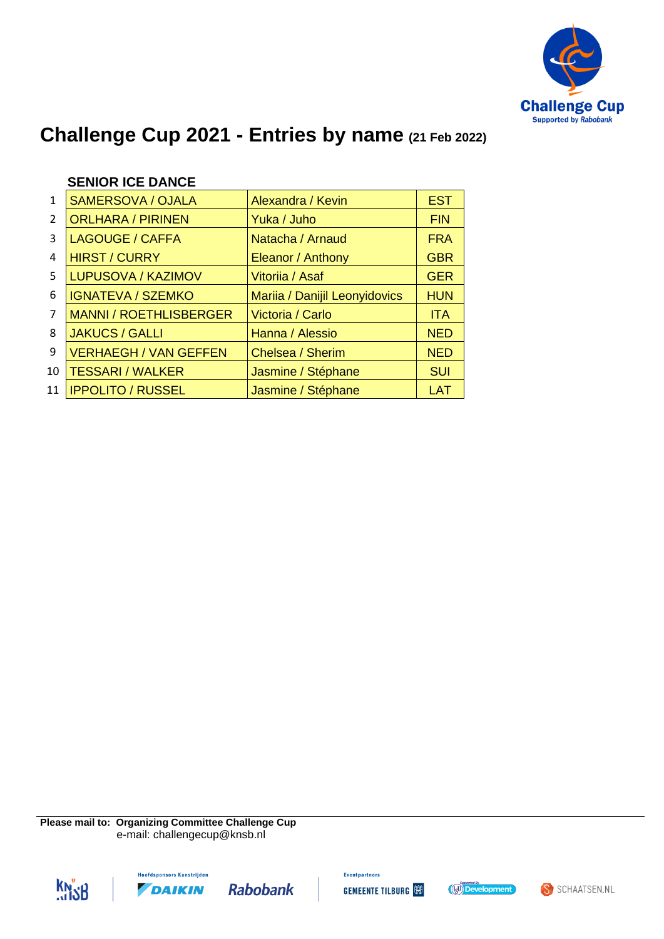

|               | <b>SENIOR ICE DANCE</b>       |                               |            |
|---------------|-------------------------------|-------------------------------|------------|
| 1             | <b>SAMERSOVA / OJALA</b>      | Alexandra / Kevin             | <b>EST</b> |
| $\mathcal{P}$ | <b>ORLHARA / PIRINEN</b>      | Yuka / Juho                   | <b>FIN</b> |
| 3             | <b>LAGOUGE / CAFFA</b>        | Natacha / Arnaud              | <b>FRA</b> |
| 4             | <b>HIRST / CURRY</b>          | Eleanor / Anthony             | <b>GBR</b> |
| 5.            | LUPUSOVA / KAZIMOV            | Vitoriia / Asaf               | <b>GER</b> |
| 6             | <b>IGNATEVA / SZEMKO</b>      | Mariia / Danijil Leonyidovics | <b>HUN</b> |
| 7             | <b>MANNI / ROETHLISBERGER</b> | Victoria / Carlo              | <b>ITA</b> |
| 8             | <b>JAKUCS / GALLI</b>         | Hanna / Alessio               | <b>NED</b> |
|               |                               |                               |            |

9 VERHAEGH / VAN GEFFEN Chelsea / Sherim NED 10 | TESSARI / WALKER | Jasmine / Stéphane | SUI 11 | IPPOLITO / RUSSEL | Jasmine / Stéphane | LAT

### **SENIOR ICE DANCE**

**Please mail to: Organizing Committee Challenge Cup** e-mail: challengecup@knsb.nl







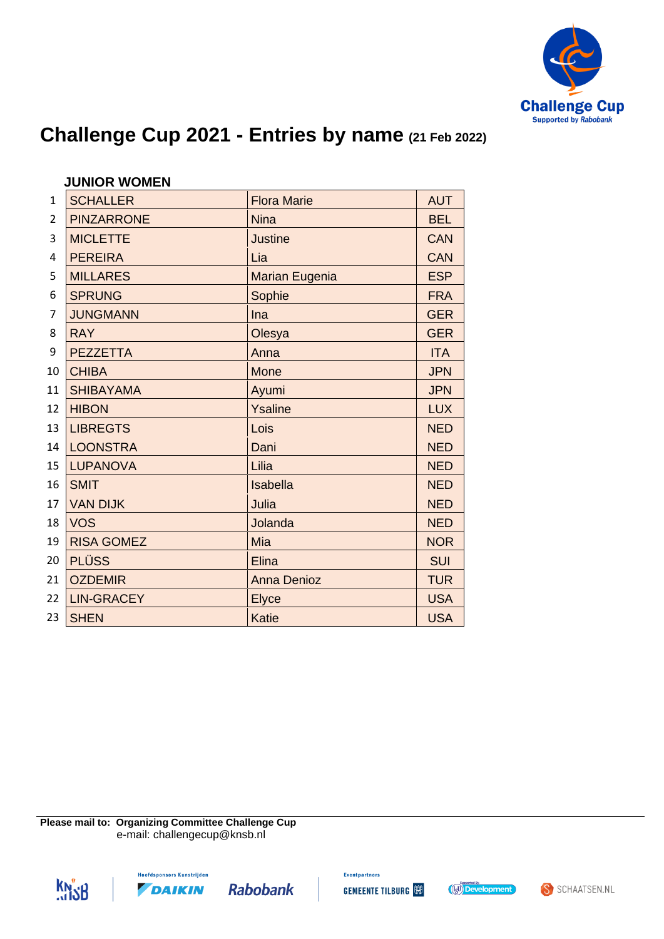

|                | <b>JUNIOR WOMEN</b> |                       |            |
|----------------|---------------------|-----------------------|------------|
| $\mathbf{1}$   | <b>SCHALLER</b>     | <b>Flora Marie</b>    | <b>AUT</b> |
| $\overline{2}$ | <b>PINZARRONE</b>   | <b>Nina</b>           | <b>BEL</b> |
| 3              | <b>MICLETTE</b>     | <b>Justine</b>        | <b>CAN</b> |
| 4              | <b>PEREIRA</b>      | Lia                   | <b>CAN</b> |
| 5              | <b>MILLARES</b>     | <b>Marian Eugenia</b> | <b>ESP</b> |
| 6              | <b>SPRUNG</b>       | Sophie                | <b>FRA</b> |
| 7              | <b>JUNGMANN</b>     | Ina                   | <b>GER</b> |
| 8              | <b>RAY</b>          | Olesya                | <b>GER</b> |
| 9              | <b>PEZZETTA</b>     | Anna                  | <b>ITA</b> |
| 10             | <b>CHIBA</b>        | <b>Mone</b>           | <b>JPN</b> |
| 11             | <b>SHIBAYAMA</b>    | Ayumi                 | <b>JPN</b> |
| 12             | <b>HIBON</b>        | Ysaline               | <b>LUX</b> |
| 13             | <b>LIBREGTS</b>     | Lois                  | <b>NED</b> |
| 14             | <b>LOONSTRA</b>     | Dani                  | <b>NED</b> |
| 15             | <b>LUPANOVA</b>     | Lilia                 | <b>NED</b> |
| 16             | <b>SMIT</b>         | Isabella              | <b>NED</b> |
| 17             | <b>VAN DIJK</b>     | Julia                 | <b>NED</b> |
| 18             | <b>VOS</b>          | Jolanda               | <b>NED</b> |
| 19             | <b>RISA GOMEZ</b>   | Mia                   | <b>NOR</b> |
| 20             | <b>PLÜSS</b>        | Elina                 | <b>SUI</b> |
| 21             | <b>OZDEMIR</b>      | <b>Anna Denioz</b>    | <b>TUR</b> |
| 22             | <b>LIN-GRACEY</b>   | <b>Elyce</b>          | <b>USA</b> |
| 23             | <b>SHEN</b>         | <b>Katie</b>          | <b>USA</b> |

**Please mail to: Organizing Committee Challenge Cup** e-mail: challengecup@knsb.nl





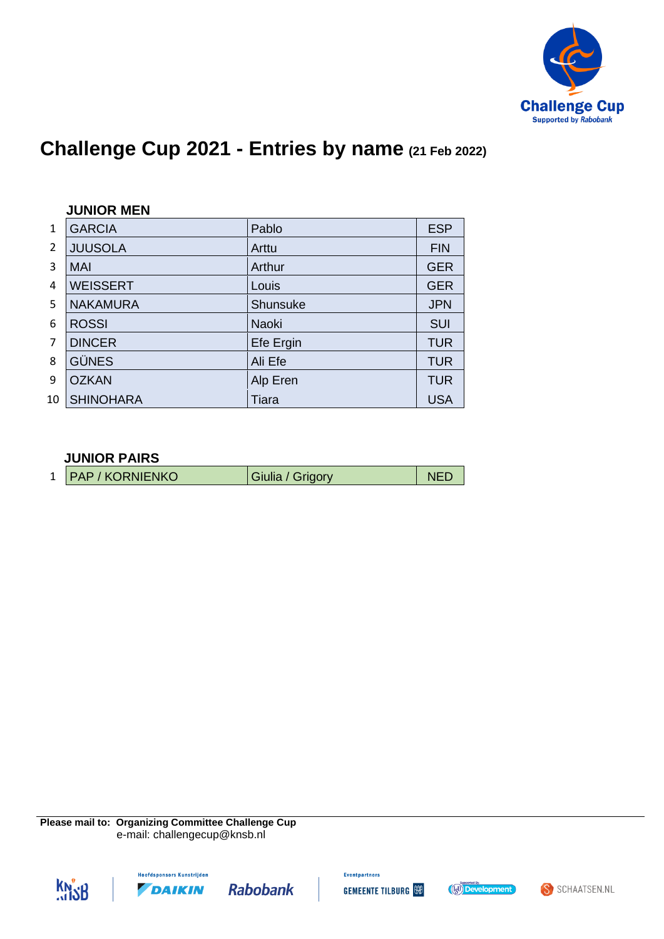

|               | <b>JUNIOR MEN</b> |              |            |  |
|---------------|-------------------|--------------|------------|--|
| 1             | <b>GARCIA</b>     | Pablo        | <b>ESP</b> |  |
| $\mathcal{P}$ | <b>JUUSOLA</b>    | Arttu        | <b>FIN</b> |  |
| 3             | <b>MAI</b>        | Arthur       | <b>GER</b> |  |
| 4             | <b>WEISSERT</b>   | Louis        | <b>GER</b> |  |
| 5             | <b>NAKAMURA</b>   | Shunsuke     | <b>JPN</b> |  |
| 6             | <b>ROSSI</b>      | <b>Naoki</b> | <b>SUI</b> |  |
| 7             | <b>DINCER</b>     | Efe Ergin    | <b>TUR</b> |  |
| 8             | <b>GÜNES</b>      | Ali Efe      | <b>TUR</b> |  |
| 9             | <b>OZKAN</b>      | Alp Eren     | <b>TUR</b> |  |
| 10            | <b>SHINOHARA</b>  | Tiara        | <b>USA</b> |  |

#### **JUNIOR PAIRS**

| 1   PAP / KORNIENKO<br>Giulia / Grigory |
|-----------------------------------------|
|-----------------------------------------|

**Please mail to: Organizing Committee Challenge Cup** e-mail: challengecup@knsb.nl







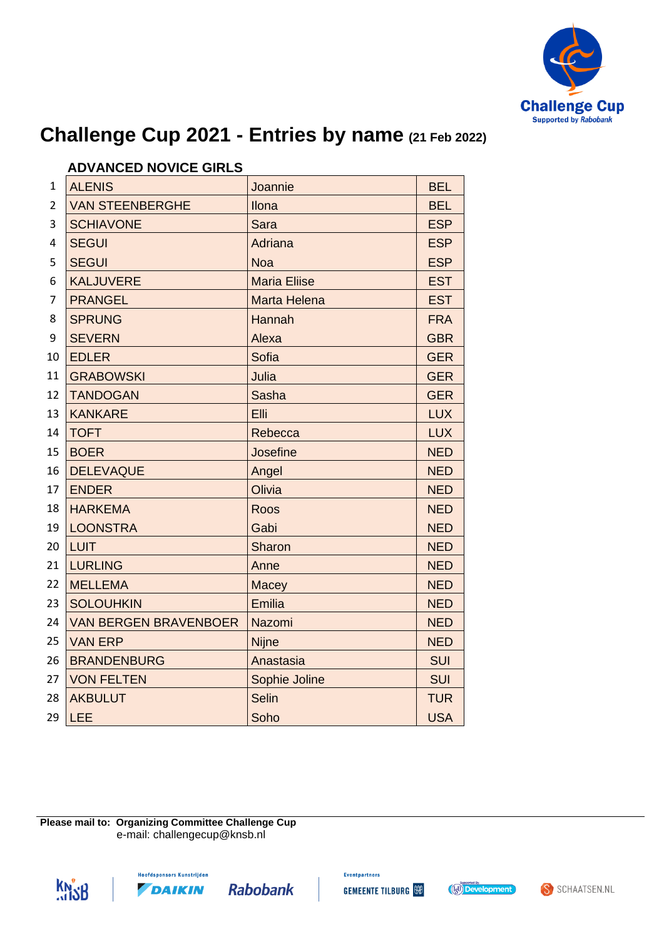

|                         | ADVANULD NUVIUL UIKLU        |                     |            |
|-------------------------|------------------------------|---------------------|------------|
| 1                       | <b>ALENIS</b>                | Joannie             | <b>BEL</b> |
| $\overline{2}$          | <b>VAN STEENBERGHE</b>       | Ilona               | <b>BEL</b> |
| 3                       | <b>SCHIAVONE</b>             | Sara                | <b>ESP</b> |
| $\overline{\mathbf{4}}$ | <b>SEGUI</b>                 | <b>Adriana</b>      | <b>ESP</b> |
| 5                       | <b>SEGUI</b>                 | <b>Noa</b>          | <b>ESP</b> |
| 6                       | <b>KALJUVERE</b>             | <b>Maria Eliise</b> | <b>EST</b> |
| 7                       | <b>PRANGEL</b>               | <b>Marta Helena</b> | <b>EST</b> |
| 8                       | <b>SPRUNG</b>                | Hannah              | <b>FRA</b> |
| 9                       | <b>SEVERN</b>                | Alexa               | <b>GBR</b> |
| 10                      | <b>EDLER</b>                 | Sofia               | <b>GER</b> |
| 11                      | <b>GRABOWSKI</b>             | Julia               | <b>GER</b> |
| 12                      | <b>TANDOGAN</b>              | <b>Sasha</b>        | <b>GER</b> |
| 13                      | <b>KANKARE</b>               | Elli                | <b>LUX</b> |
| 14                      | <b>TOFT</b>                  | Rebecca             | <b>LUX</b> |
| 15                      | <b>BOER</b>                  | Josefine            | <b>NED</b> |
| 16                      | <b>DELEVAQUE</b>             | Angel               | <b>NED</b> |
| 17                      | <b>ENDER</b>                 | Olivia              | <b>NED</b> |
| 18                      | <b>HARKEMA</b>               | Roos                | <b>NED</b> |
| 19                      | <b>LOONSTRA</b>              | Gabi                | <b>NED</b> |
| 20                      | <b>LUIT</b>                  | Sharon              | <b>NED</b> |
| 21                      | <b>LURLING</b>               | Anne                | <b>NED</b> |
| 22                      | <b>MELLEMA</b>               | Macey               | <b>NED</b> |
| 23                      | <b>SOLOUHKIN</b>             | <b>Emilia</b>       | <b>NED</b> |
| 24                      | <b>VAN BERGEN BRAVENBOER</b> | Nazomi              | <b>NED</b> |
| 25                      | <b>VAN ERP</b>               | <b>Nijne</b>        | <b>NED</b> |
| 26                      | <b>BRANDENBURG</b>           | Anastasia           | <b>SUI</b> |
| 27                      | <b>VON FELTEN</b>            | Sophie Joline       | SUI        |
| 28                      | <b>AKBULUT</b>               | <b>Selin</b>        | <b>TUR</b> |
| 29                      | LEE                          | Soho                | <b>USA</b> |

### **ADVANCED NOVICE GIRLS**

**Please mail to: Organizing Committee Challenge Cup** e-mail: challengecup@knsb.nl